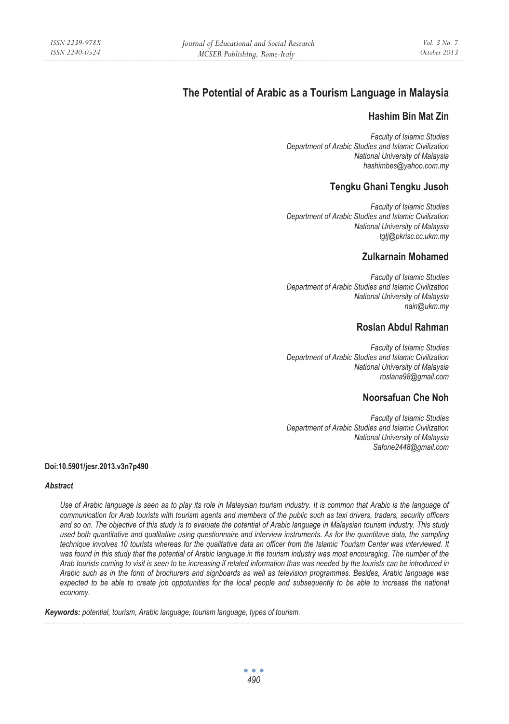# **The Potential of Arabic as a Tourism Language in Malaysia**

### **Hashim Bin Mat Zin**

*Faculty of Islamic Studies Department of Arabic Studies and Islamic Civilization National University of Malaysia hashimbes@yahoo.com.my* 

# **Tengku Ghani Tengku Jusoh**

*Faculty of Islamic Studies Department of Arabic Studies and Islamic Civilization National University of Malaysia tgtj@pkrisc.cc.ukm.my* 

### **Zulkarnain Mohamed**

*Faculty of Islamic Studies Department of Arabic Studies and Islamic Civilization National University of Malaysia nain@ukm.my* 

### **Roslan Abdul Rahman**

*Faculty of Islamic Studies Department of Arabic Studies and Islamic Civilization National University of Malaysia roslana98@gmail.com* 

## **Noorsafuan Che Noh**

*Faculty of Islamic Studies Department of Arabic Studies and Islamic Civilization National University of Malaysia Safone2448@gmail.com* 

#### **Doi:10.5901/jesr.2013.v3n7p490**

#### *Abstract*

Use of Arabic language is seen as to play its role in Malaysian tourism industry. It is common that Arabic is the language of *communication for Arab tourists with tourism agents and members of the public such as taxi drivers, traders, security officers*  and so on. The objective of this study is to evaluate the potential of Arabic language in Malaysian tourism industry. This study *used both quantitative and qualitative using questionnaire and interview instruments. As for the quantitave data, the sampling technique involves 10 tourists whereas for the qualitative data an officer from the Islamic Tourism Center was interviewed. It was found in this study that the potential of Arabic language in the tourism industry was most encouraging. The number of the Arab tourists coming to visit is seen to be increasing if related information thas was needed by the tourists can be introduced in Arabic such as in the form of brochurers and signboards as well as television programmes. Besides, Arabic language was*  expected to be able to create job oppotunities for the local people and subsequently to be able to increase the national *economy.* 

*Keywords: potential, tourism, Arabic language, tourism language, types of tourism.* 

 $\bullet$   $\bullet$   $\bullet$ *490*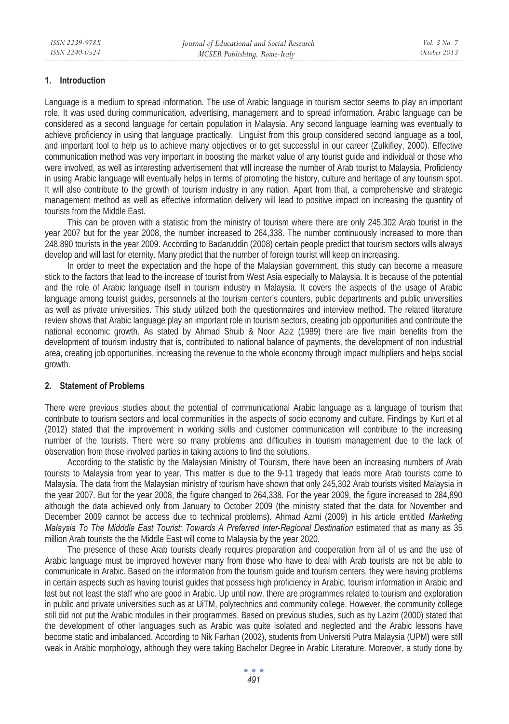#### **1. Introduction**

Language is a medium to spread information. The use of Arabic language in tourism sector seems to play an important role. It was used during communication, advertising, management and to spread information. Arabic language can be considered as a second language for certain population in Malaysia. Any second language learning was eventually to achieve proficiency in using that language practically. Linguist from this group considered second language as a tool, and important tool to help us to achieve many objectives or to get successful in our career (Zulkifley, 2000). Effective communication method was very important in boosting the market value of any tourist guide and individual or those who were involved, as well as interesting advertisement that will increase the number of Arab tourist to Malaysia. Proficiency in using Arabic language will eventually helps in terms of promoting the history, culture and heritage of any tourism spot. It will also contribute to the growth of tourism industry in any nation. Apart from that, a comprehensive and strategic management method as well as effective information delivery will lead to positive impact on increasing the quantity of tourists from the Middle East.

This can be proven with a statistic from the ministry of tourism where there are only 245,302 Arab tourist in the year 2007 but for the year 2008, the number increased to 264,338. The number continuously increased to more than 248,890 tourists in the year 2009. According to Badaruddin (2008) certain people predict that tourism sectors wills always develop and will last for eternity. Many predict that the number of foreign tourist will keep on increasing.

In order to meet the expectation and the hope of the Malaysian government, this study can become a measure stick to the factors that lead to the increase of tourist from West Asia especially to Malaysia. It is because of the potential and the role of Arabic language itself in tourism industry in Malaysia. It covers the aspects of the usage of Arabic language among tourist guides, personnels at the tourism center's counters, public departments and public universities as well as private universities. This study utilized both the questionnaires and interview method. The related literature review shows that Arabic language play an important role in tourism sectors, creating job opportunities and contribute the national economic growth. As stated by Ahmad Shuib & Noor Aziz (1989) there are five main benefits from the development of tourism industry that is, contributed to national balance of payments, the development of non industrial area, creating job opportunities, increasing the revenue to the whole economy through impact multipliers and helps social growth.

### **2. Statement of Problems**

There were previous studies about the potential of communicational Arabic language as a language of tourism that contribute to tourism sectors and local communities in the aspects of socio economy and culture. Findings by Kurt et al (2012) stated that the improvement in working skills and customer communication will contribute to the increasing number of the tourists. There were so many problems and difficulties in tourism management due to the lack of observation from those involved parties in taking actions to find the solutions.

According to the statistic by the Malaysian Ministry of Tourism, there have been an increasing numbers of Arab tourists to Malaysia from year to year. This matter is due to the 9-11 tragedy that leads more Arab tourists come to Malaysia. The data from the Malaysian ministry of tourism have shown that only 245,302 Arab tourists visited Malaysia in the year 2007. But for the year 2008, the figure changed to 264,338. For the year 2009, the figure increased to 284,890 although the data achieved only from January to October 2009 (the ministry stated that the data for November and December 2009 cannot be access due to technical problems). Ahmad Azmi (2009) in his article entitled *Marketing Malaysia To The Midddle East Tourist: Towards A Preferred Inter-Regional Destination estimated that as many as 35* million Arab tourists the the Middle East will come to Malaysia by the year 2020.

The presence of these Arab tourists clearly requires preparation and cooperation from all of us and the use of Arabic language must be improved however many from those who have to deal with Arab tourists are not be able to communicate in Arabic. Based on the information from the tourism guide and tourism centers, they were having problems in certain aspects such as having tourist guides that possess high proficiency in Arabic, tourism information in Arabic and last but not least the staff who are good in Arabic. Up until now, there are programmes related to tourism and exploration in public and private universities such as at UiTM, polytechnics and community college. However, the community college still did not put the Arabic modules in their programmes. Based on previous studies, such as by Lazim (2000) stated that the development of other languages such as Arabic was quite isolated and neglected and the Arabic lessons have become static and imbalanced. According to Nik Farhan (2002), students from Universiti Putra Malaysia (UPM) were still weak in Arabic morphology, although they were taking Bachelor Degree in Arabic Literature. Moreover, a study done by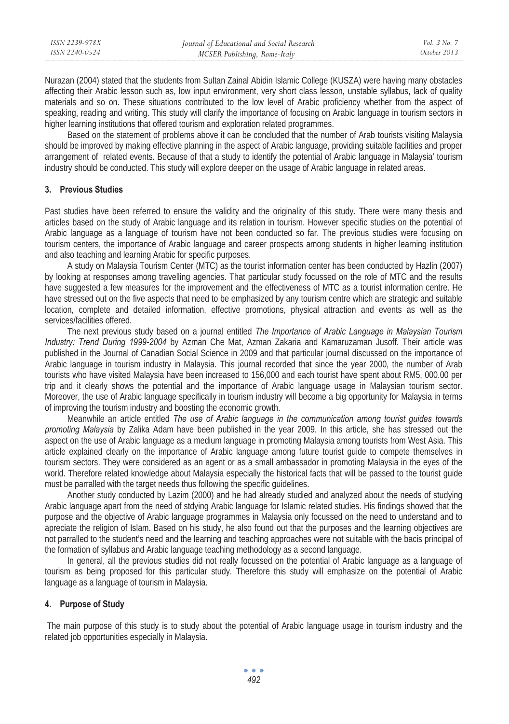| ISSN 2239-978X | Journal of Educational and Social Research | Vol. 3 No. 7 |
|----------------|--------------------------------------------|--------------|
| ISSN 2240-0524 | MCSER Publishing, Rome-Italy               | October 2013 |
|                |                                            |              |

Nurazan (2004) stated that the students from Sultan Zainal Abidin Islamic College (KUSZA) were having many obstacles affecting their Arabic lesson such as, low input environment, very short class lesson, unstable syllabus, lack of quality materials and so on. These situations contributed to the low level of Arabic proficiency whether from the aspect of speaking, reading and writing. This study will clarify the importance of focusing on Arabic language in tourism sectors in higher learning institutions that offered tourism and exploration related programmes.

Based on the statement of problems above it can be concluded that the number of Arab tourists visiting Malaysia should be improved by making effective planning in the aspect of Arabic language, providing suitable facilities and proper arrangement of related events. Because of that a study to identify the potential of Arabic language in Malaysia' tourism industry should be conducted. This study will explore deeper on the usage of Arabic language in related areas.

### **3. Previous Studies**

Past studies have been referred to ensure the validity and the originality of this study. There were many thesis and articles based on the study of Arabic language and its relation in tourism. However specific studies on the potential of Arabic language as a language of tourism have not been conducted so far. The previous studies were focusing on tourism centers, the importance of Arabic language and career prospects among students in higher learning institution and also teaching and learning Arabic for specific purposes.

A study on Malaysia Tourism Center (MTC) as the tourist information center has been conducted by Hazlin (2007) by looking at responses among travelling agencies. That particular study focussed on the role of MTC and the results have suggested a few measures for the improvement and the effectiveness of MTC as a tourist information centre. He have stressed out on the five aspects that need to be emphasized by any tourism centre which are strategic and suitable location, complete and detailed information, effective promotions, physical attraction and events as well as the services/facilities offered.

The next previous study based on a journal entitled *The Importance of Arabic Language in Malaysian Tourism Industry: Trend During 1999-2004* by Azman Che Mat, Azman Zakaria and Kamaruzaman Jusoff. Their article was published in the Journal of Canadian Social Science in 2009 and that particular journal discussed on the importance of Arabic language in tourism industry in Malaysia. This journal recorded that since the year 2000, the number of Arab tourists who have visited Malaysia have been increased to 156,000 and each tourist have spent about RM5, 000.00 per trip and it clearly shows the potential and the importance of Arabic language usage in Malaysian tourism sector. Moreover, the use of Arabic language specifically in tourism industry will become a big opportunity for Malaysia in terms of improving the tourism industry and boosting the economic growth.

Meanwhile an article entitled *The use of Arabic language in the communication among tourist guides towards promoting Malaysia* by Zalika Adam have been published in the year 2009. In this article, she has stressed out the aspect on the use of Arabic language as a medium language in promoting Malaysia among tourists from West Asia. This article explained clearly on the importance of Arabic language among future tourist guide to compete themselves in tourism sectors. They were considered as an agent or as a small ambassador in promoting Malaysia in the eyes of the world. Therefore related knowledge about Malaysia especially the historical facts that will be passed to the tourist guide must be parralled with the target needs thus following the specific guidelines.

Another study conducted by Lazim (2000) and he had already studied and analyzed about the needs of studying Arabic language apart from the need of stdying Arabic language for Islamic related studies. His findings showed that the purpose and the objective of Arabic language programmes in Malaysia only focussed on the need to understand and to apreciate the religion of Islam. Based on his study, he also found out that the purposes and the learning objectives are not parralled to the student's need and the learning and teaching approaches were not suitable with the bacis principal of the formation of syllabus and Arabic language teaching methodology as a second language.

In general, all the previous studies did not really focussed on the potential of Arabic language as a language of tourism as being proposed for this particular study. Therefore this study will emphasize on the potential of Arabic language as a language of tourism in Malaysia.

### **4. Purpose of Study**

 The main purpose of this study is to study about the potential of Arabic language usage in tourism industry and the related job opportunities especially in Malaysia.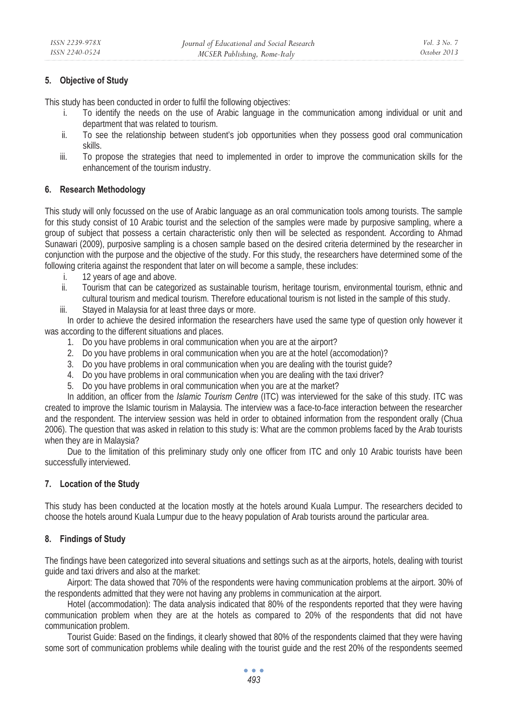### **5. Objective of Study**

This study has been conducted in order to fulfil the following objectives:

- i. To identify the needs on the use of Arabic language in the communication among individual or unit and department that was related to tourism.
- ii. To see the relationship between student's job opportunities when they possess good oral communication skills.
- iii. To propose the strategies that need to implemented in order to improve the communication skills for the enhancement of the tourism industry.

### **6. Research Methodology**

This study will only focussed on the use of Arabic language as an oral communication tools among tourists. The sample for this study consist of 10 Arabic tourist and the selection of the samples were made by purposive sampling, where a group of subject that possess a certain characteristic only then will be selected as respondent. According to Ahmad Sunawari (2009), purposive sampling is a chosen sample based on the desired criteria determined by the researcher in conjunction with the purpose and the objective of the study. For this study, the researchers have determined some of the following criteria against the respondent that later on will become a sample, these includes:

- i. 12 years of age and above.
- ii. Tourism that can be categorized as sustainable tourism, heritage tourism, environmental tourism, ethnic and cultural tourism and medical tourism. Therefore educational tourism is not listed in the sample of this study.
- iii. Stayed in Malaysia for at least three days or more.

In order to achieve the desired information the researchers have used the same type of question only however it was according to the different situations and places.

- 1. Do you have problems in oral communication when you are at the airport?
- 2. Do you have problems in oral communication when you are at the hotel (accomodation)?
- 3. Do you have problems in oral communication when you are dealing with the tourist guide?
- 4. Do you have problems in oral communication when you are dealing with the taxi driver?
- 5. Do you have problems in oral communication when you are at the market?

In addition, an officer from the *Islamic Tourism Centre* (ITC) was interviewed for the sake of this study. ITC was created to improve the Islamic tourism in Malaysia. The interview was a face-to-face interaction between the researcher and the respondent. The interview session was held in order to obtained information from the respondent orally (Chua 2006). The question that was asked in relation to this study is: What are the common problems faced by the Arab tourists when they are in Malaysia?

Due to the limitation of this preliminary study only one officer from ITC and only 10 Arabic tourists have been successfully interviewed.

### **7. Location of the Study**

This study has been conducted at the location mostly at the hotels around Kuala Lumpur. The researchers decided to choose the hotels around Kuala Lumpur due to the heavy population of Arab tourists around the particular area.

### **8. Findings of Study**

The findings have been categorized into several situations and settings such as at the airports, hotels, dealing with tourist guide and taxi drivers and also at the market:

Airport: The data showed that 70% of the respondents were having communication problems at the airport. 30% of the respondents admitted that they were not having any problems in communication at the airport.

Hotel (accommodation): The data analysis indicated that 80% of the respondents reported that they were having communication problem when they are at the hotels as compared to 20% of the respondents that did not have communication problem.

Tourist Guide: Based on the findings, it clearly showed that 80% of the respondents claimed that they were having some sort of communication problems while dealing with the tourist guide and the rest 20% of the respondents seemed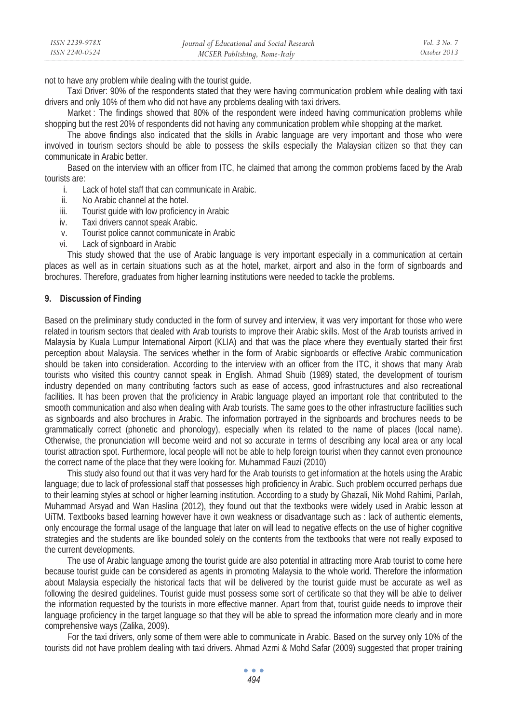| ISSN 2239-978X | Journal of Educational and Social Research | Vol. 3 No. 7 |
|----------------|--------------------------------------------|--------------|
| ISSN 2240-0524 | MCSER Publishing, Rome-Italy               | October 2013 |

not to have any problem while dealing with the tourist guide.

Taxi Driver: 90% of the respondents stated that they were having communication problem while dealing with taxi drivers and only 10% of them who did not have any problems dealing with taxi drivers.

Market : The findings showed that 80% of the respondent were indeed having communication problems while shopping but the rest 20% of respondents did not having any communication problem while shopping at the market.

The above findings also indicated that the skills in Arabic language are very important and those who were involved in tourism sectors should be able to possess the skills especially the Malaysian citizen so that they can communicate in Arabic better.

Based on the interview with an officer from ITC, he claimed that among the common problems faced by the Arab tourists are:

- i. Lack of hotel staff that can communicate in Arabic.
- ii. No Arabic channel at the hotel.
- iii. Tourist guide with low proficiency in Arabic
- iv. Taxi drivers cannot speak Arabic.
- v. Tourist police cannot communicate in Arabic
- vi. Lack of signboard in Arabic

This study showed that the use of Arabic language is very important especially in a communication at certain places as well as in certain situations such as at the hotel, market, airport and also in the form of signboards and brochures. Therefore, graduates from higher learning institutions were needed to tackle the problems.

#### **9. Discussion of Finding**

Based on the preliminary study conducted in the form of survey and interview, it was very important for those who were related in tourism sectors that dealed with Arab tourists to improve their Arabic skills. Most of the Arab tourists arrived in Malaysia by Kuala Lumpur International Airport (KLIA) and that was the place where they eventually started their first perception about Malaysia. The services whether in the form of Arabic signboards or effective Arabic communication should be taken into consideration. According to the interview with an officer from the ITC, it shows that many Arab tourists who visited this country cannot speak in English. Ahmad Shuib (1989) stated, the development of tourism industry depended on many contributing factors such as ease of access, good infrastructures and also recreational facilities. It has been proven that the proficiency in Arabic language played an important role that contributed to the smooth communication and also when dealing with Arab tourists. The same goes to the other infrastructure facilities such as signboards and also brochures in Arabic. The information portrayed in the signboards and brochures needs to be grammatically correct (phonetic and phonology), especially when its related to the name of places (local name). Otherwise, the pronunciation will become weird and not so accurate in terms of describing any local area or any local tourist attraction spot. Furthermore, local people will not be able to help foreign tourist when they cannot even pronounce the correct name of the place that they were looking for. Muhammad Fauzi (2010)

This study also found out that it was very hard for the Arab tourists to get information at the hotels using the Arabic language; due to lack of professional staff that possesses high proficiency in Arabic. Such problem occurred perhaps due to their learning styles at school or higher learning institution. According to a study by Ghazali, Nik Mohd Rahimi, Parilah, Muhammad Arsyad and Wan Haslina (2012), they found out that the textbooks were widely used in Arabic lesson at UiTM. Textbooks based learning however have it own weakness or disadvantage such as : lack of authentic elements, only encourage the formal usage of the language that later on will lead to negative effects on the use of higher cognitive strategies and the students are like bounded solely on the contents from the textbooks that were not really exposed to the current developments.

The use of Arabic language among the tourist guide are also potential in attracting more Arab tourist to come here because tourist guide can be considered as agents in promoting Malaysia to the whole world. Therefore the information about Malaysia especially the historical facts that will be delivered by the tourist guide must be accurate as well as following the desired guidelines. Tourist guide must possess some sort of certificate so that they will be able to deliver the information requested by the tourists in more effective manner. Apart from that, tourist guide needs to improve their language proficiency in the target language so that they will be able to spread the information more clearly and in more comprehensive ways (Zalika, 2009).

For the taxi drivers, only some of them were able to communicate in Arabic. Based on the survey only 10% of the tourists did not have problem dealing with taxi drivers. Ahmad Azmi & Mohd Safar (2009) suggested that proper training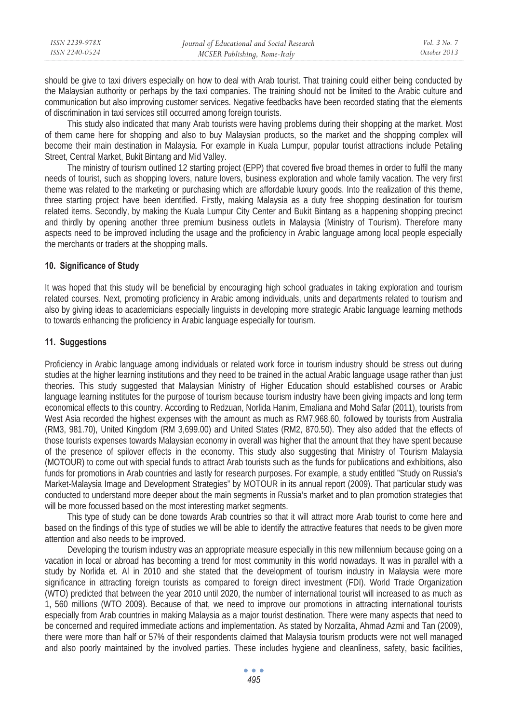| ISSN 2239-978X | Journal of Educational and Social Research | Vol. 3 No. 7 |
|----------------|--------------------------------------------|--------------|
| ISSN 2240-0524 | MCSER Publishing, Rome-Italy               | October 2013 |

should be give to taxi drivers especially on how to deal with Arab tourist. That training could either being conducted by the Malaysian authority or perhaps by the taxi companies. The training should not be limited to the Arabic culture and communication but also improving customer services. Negative feedbacks have been recorded stating that the elements of discrimination in taxi services still occurred among foreign tourists.

This study also indicated that many Arab tourists were having problems during their shopping at the market. Most of them came here for shopping and also to buy Malaysian products, so the market and the shopping complex will become their main destination in Malaysia. For example in Kuala Lumpur, popular tourist attractions include Petaling Street, Central Market, Bukit Bintang and Mid Valley.

The ministry of tourism outlined 12 starting project (EPP) that covered five broad themes in order to fulfil the many needs of tourist, such as shopping lovers, nature lovers, business exploration and whole family vacation. The very first theme was related to the marketing or purchasing which are affordable luxury goods. Into the realization of this theme, three starting project have been identified. Firstly, making Malaysia as a duty free shopping destination for tourism related items. Secondly, by making the Kuala Lumpur City Center and Bukit Bintang as a happening shopping precinct and thirdly by opening another three premium business outlets in Malaysia (Ministry of Tourism). Therefore many aspects need to be improved including the usage and the proficiency in Arabic language among local people especially the merchants or traders at the shopping malls.

#### **10. Significance of Study**

It was hoped that this study will be beneficial by encouraging high school graduates in taking exploration and tourism related courses. Next, promoting proficiency in Arabic among individuals, units and departments related to tourism and also by giving ideas to academicians especially linguists in developing more strategic Arabic language learning methods to towards enhancing the proficiency in Arabic language especially for tourism.

### **11. Suggestions**

Proficiency in Arabic language among individuals or related work force in tourism industry should be stress out during studies at the higher learning institutions and they need to be trained in the actual Arabic language usage rather than just theories. This study suggested that Malaysian Ministry of Higher Education should established courses or Arabic language learning institutes for the purpose of tourism because tourism industry have been giving impacts and long term economical effects to this country. According to Redzuan, Norlida Hanim, Emaliana and Mohd Safar (2011), tourists from West Asia recorded the highest expenses with the amount as much as RM7,968.60, followed by tourists from Australia (RM3, 981.70), United Kingdom (RM 3,699.00) and United States (RM2, 870.50). They also added that the effects of those tourists expenses towards Malaysian economy in overall was higher that the amount that they have spent because of the presence of spilover effects in the economy. This study also suggesting that Ministry of Tourism Malaysia (MOTOUR) to come out with special funds to attract Arab tourists such as the funds for publications and exhibitions, also funds for promotions in Arab countries and lastly for research purposes. For example, a study entitled "Study on Russia's Market-Malaysia Image and Development Strategies" by MOTOUR in its annual report (2009). That particular study was conducted to understand more deeper about the main segments in Russia's market and to plan promotion strategies that will be more focussed based on the most interesting market segments.

This type of study can be done towards Arab countries so that it will attract more Arab tourist to come here and based on the findings of this type of studies we will be able to identify the attractive features that needs to be given more attention and also needs to be improved.

Developing the tourism industry was an appropriate measure especially in this new millennium because going on a vacation in local or abroad has becoming a trend for most community in this world nowadays. It was in parallel with a study by Norlida et. Al in 2010 and she stated that the development of tourism industry in Malaysia were more significance in attracting foreign tourists as compared to foreign direct investment (FDI). World Trade Organization (WTO) predicted that between the year 2010 until 2020, the number of international tourist will increased to as much as 1, 560 millions (WTO 2009). Because of that, we need to improve our promotions in attracting international tourists especially from Arab countries in making Malaysia as a major tourist destination. There were many aspects that need to be concerned and required immediate actions and implementation. As stated by Norzalita, Ahmad Azmi and Tan (2009), there were more than half or 57% of their respondents claimed that Malaysia tourism products were not well managed and also poorly maintained by the involved parties. These includes hygiene and cleanliness, safety, basic facilities,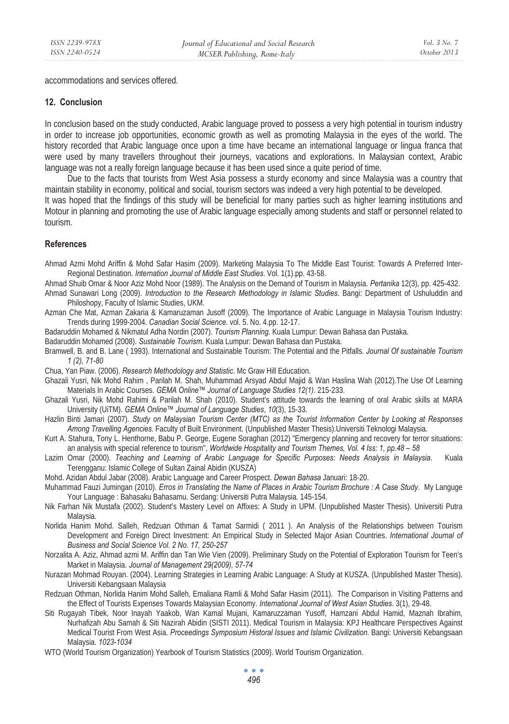accommodations and services offered.

#### **12. Conclusion**

In conclusion based on the study conducted, Arabic language proved to possess a very high potential in tourism industry in order to increase job opportunities, economic growth as well as promoting Malaysia in the eyes of the world. The history recorded that Arabic language once upon a time have became an international language or lingua franca that were used by many travellers throughout their journeys, vacations and explorations. In Malaysian context, Arabic language was not a really foreign language because it has been used since a quite period of time.

Due to the facts that tourists from West Asia possess a sturdy economy and since Malaysia was a country that maintain stability in economy, political and social, tourism sectors was indeed a very high potential to be developed.

It was hoped that the findings of this study will be beneficial for many parties such as higher learning institutions and Motour in planning and promoting the use of Arabic language especially among students and staff or personnel related to tourism.

#### **References**

- Ahmad Azmi Mohd Ariffin & Mohd Safar Hasim (2009). Marketing Malaysia To The Middle East Tourist: Towards A Preferred Inter-Regional Destination. *Internation Journal of Middle East Studies*. Vol. 1(1).pp. 43-58.
- Ahmad Shuib Omar & Noor Aziz Mohd Noor (1989). The Analysis on the Demand of Tourism in Malaysia. *Pertanika* 12(3), pp. 425-432.
- Ahmad Sunawari Long (2009). *Introduction to the Research Methodology in Islamic Studies*. Bangi: Department of Ushuluddin and Philoshopy, Faculty of Islamic Studies, UKM.
- Azman Che Mat, Azman Zakaria & Kamaruzaman Jusoff (2009). The Importance of Arabic Language in Malaysia Tourism Industry: Trends during 1999-2004. *Canadian Social Science*. vol. 5. No. 4.pp. 12-17.
- Badaruddin Mohamed & Nikmatul Adha Nordin (2007). *Tourism Planning*. Kuala Lumpur: Dewan Bahasa dan Pustaka.
- Badaruddin Mohamed (2008). *Sustainable Tourism*. Kuala Lumpur: Dewan Bahasa dan Pustaka.
- Bramwell, B. and B. Lane ( 1993). International and Sustainable Tourism: The Potential and the Pitfalls. *Journal Of sustainable Tourism 1 (2), 71-80*
- Chua, Yan Piaw. (2006). *Research Methodology and Statistic*. Mc Graw Hill Education.
- Ghazali Yusri, Nik Mohd Rahim , Parilah M. Shah, Muhammad Arsyad Abdul Majid & Wan Haslina Wah (2012)*.*The Use Of Learning Materials In Arabic Courses*. GEMA Online™ Journal of Language Studies 12(1).* 215-233.
- Ghazali Yusri, Nik Mohd Rahimi & Parilah M. Shah (2010). Student's attitude towards the learning of oral Arabic skills at MARA University (UiTM). *GEMA Online™ Journal of Language Studies*, *10*(3), 15-33.
- Hazlin Binti Jamari (2007). *Study on Malaysian Tourism Center (MTC) as the Tourist Information Center by Looking at Responses Among Travelling Agencies.* Faculty of Built Environment. (Unpublished Master Thesis).Universiti Teknologi Malaysia.
- Kurt A. Stahura, Tony L. Henthorne, Babu P. George, Eugene Soraghan (2012) "Emergency planning and recovery for terror situations: an analysis with special reference to tourism", *Worldwide Hospitality and Tourism Themes, Vol. 4 Iss: 1, pp.48 – 58*
- Lazim Omar (2000). *Teaching and Learning of Arabic Language for Specific Purposes: Needs Analysis in Malaysia*. Kuala Terengganu: Islamic College of Sultan Zainal Abidin (KUSZA)
- Mohd. Azidan Abdul Jabar (2008). Arabic Language and Career Prospect. *Dewan Bahasa* Januari: 18-20.
- Muhammad Fauzi Jumingan (2010). *Erros in Translating the Name of Places in Arabic Tourism Brochure : A Case Study*. My Languge Your Language : Bahasaku Bahasamu. Serdang: Universiti Putra Malaysia. 145-154.
- Nik Farhan Nik Mustafa (2002). Student's Mastery Level on Affixes: A Study in UPM. (Unpublished Master Thesis). Universiti Putra Malaysia.
- Norlida Hanim Mohd. Salleh, Redzuan Othman & Tamat Sarmidi ( 2011 ). An Analysis of the Relationships between Tourism Development and Foreign Direct Investment: An Empirical Study in Selected Major Asian Countries. *International Journal of Business and Social Science Vol. 2 No. 17, 250-257*
- Norzalita A. Aziz, Ahmad azmi M. Ariffin dan Tan Wie Vien (2009). Preliminary Study on the Potential of Exploration Tourism for Teen's Market in Malaysia. *Journal of Management 29(2009), 57-74*
- Nurazan Mohmad Rouyan. (2004). Learning Strategies in Learning Arabic Language: A Study at KUSZA. (Unpublished Master Thesis). Universiti Kebangsaan Malaysia
- Redzuan Othman, Norlida Hanim Mohd Salleh, Emaliana Ramli & Mohd Safar Hasim (2011). The Comparison in Visiting Patterns and the Effect of Tourists Expenses Towards Malaysian Economy*. International Journal of West Asian Studies*. 3(1), 29-48.
- Siti Rugayah Tibek, Noor Inayah Yaakob, Wan Kamal Mujani, Kamaruzzaman Yusoff, Hamzani Abdul Hamid, Maznah Ibrahim, Nurhafizah Abu Samah & Siti Nazirah Abidin (SISTI 2011). Medical Tourism in Malaysia: KPJ Healthcare Perspectives Against Medical Tourist From West Asia. *Proceedings Symposium Historal Issues and Islamic Civilization*. Bangi: Universiti Kebangsaan Malaysia. *1023-1034*
- WTO (World Tourism Organization) Yearbook of Tourism Statistics (2009). World Tourism Organization.